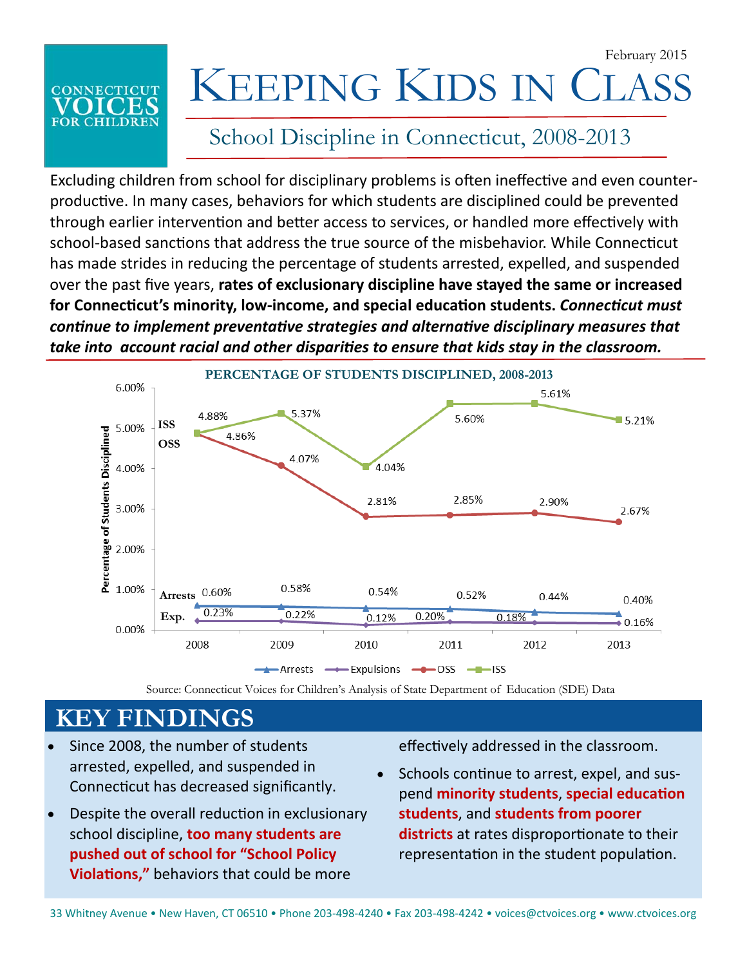February 2015

# **CONNECTICUT**

## KEEPING KIDS IN CLA

#### School Discipline in Connecticut, 2008-2013

Excluding children from school for disciplinary problems is often ineffective and even counterproductive. In many cases, behaviors for which students are disciplined could be prevented through earlier intervention and better access to services, or handled more effectively with school-based sanctions that address the true source of the misbehavior. While Connecticut has made strides in reducing the percentage of students arrested, expelled, and suspended over the past five years, **rates of exclusionary discipline have stayed the same or increased for ConnecƟcut's minority, low‐income, and special educaƟon students.** *ConnecƟcut must conƟnue to implement preventaƟve strategies and alternaƟve disciplinary measures that take into account racial and other disparities to ensure that kids stay in the classroom.* 



Source: Connecticut Voices for Children's Analysis of State Department of Education (SDE) Data

### **KEY FINDINGS**

- Since 2008, the number of students arrested, expelled, and suspended in Connecticut has decreased significantly.
- Despite the overall reduction in exclusionary school discipline, **too many students are pushed out of school for "School Policy ViolaƟons,"** behaviors that could be more

effectively addressed in the classroom.

Schools continue to arrest, expel, and sus**pend minority students, special education students**, and **students from poorer districts** at rates disproportionate to their representation in the student population.